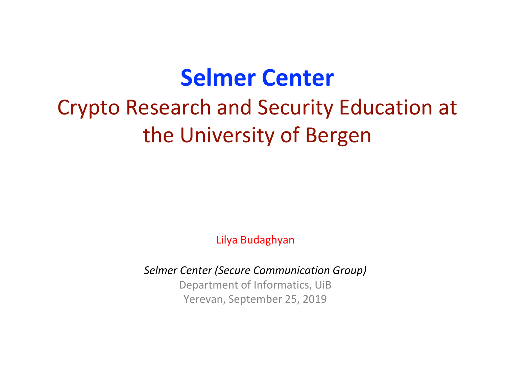### **Selmer Center**

### Crypto Research and Security Education at the University of Bergen

Lilya Budaghyan

*Selmer Center (Secure Communication Group)*

Department of Informatics, UiB Yerevan, September 25, 2019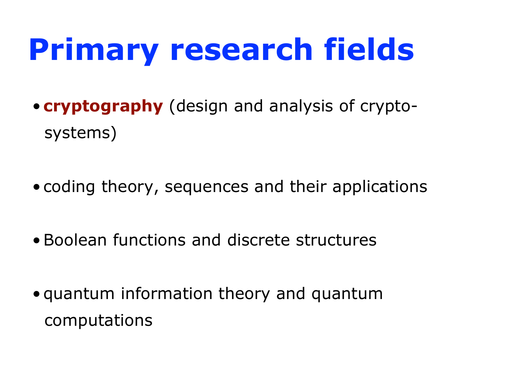# **Primary research fields**

- **cryptography** (design and analysis of cryptosystems)
- coding theory, sequences and their applications
- •Boolean functions and discrete structures
- quantum information theory and quantum computations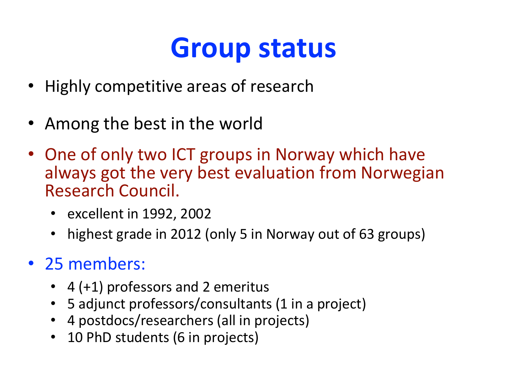## **Group status**

- Highly competitive areas of research
- Among the best in the world
- One of only two ICT groups in Norway which have always got the very best evaluation from Norwegian Research Council.
	- excellent in 1992, 2002
	- highest grade in 2012 (only 5 in Norway out of 63 groups)
- 25 members:
	- 4 (+1) professors and 2 emeritus
	- 5 adjunct professors/consultants (1 in a project)
	- 4 postdocs/researchers (all in projects)
	- 10 PhD students (6 in projects)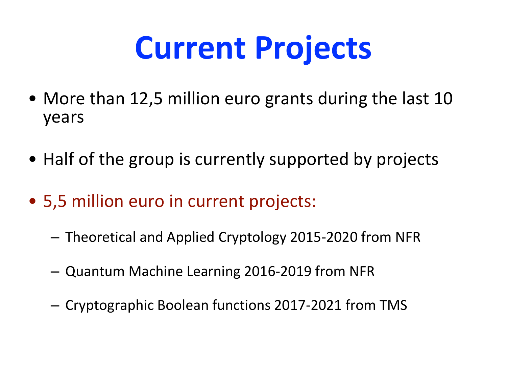# **Current Projects**

- More than 12,5 million euro grants during the last 10 years
- Half of the group is currently supported by projects
- 5,5 million euro in current projects:
	- Theoretical and Applied Cryptology 2015-2020 from NFR
	- Quantum Machine Learning 2016-2019 from NFR
	- Cryptographic Boolean functions 2017-2021 from TMS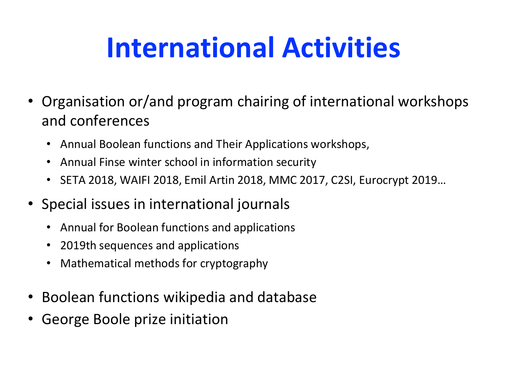# **International Activities**

- Organisation or/and program chairing of international workshops and conferences
	- Annual Boolean functions and Their Applications workshops,
	- Annual Finse winter school in information security
	- SETA 2018, WAIFI 2018, Emil Artin 2018, MMC 2017, C2SI, Eurocrypt 2019…
- Special issues in international journals
	- Annual for Boolean functions and applications
	- 2019th sequences and applications
	- Mathematical methods for cryptography
- Boolean functions wikipedia and database
- George Boole prize initiation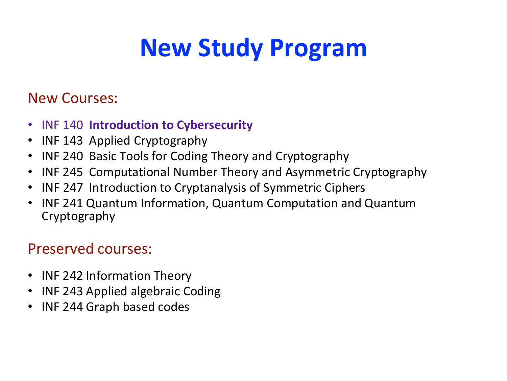## **New Study Program**

#### New Courses:

- INF 140 **Introduction to Cybersecurity**
- INF 143 Applied Cryptography
- INF 240 Basic Tools for Coding Theory and Cryptography
- INF 245 Computational Number Theory and Asymmetric Cryptography
- INF 247 Introduction to Cryptanalysis of Symmetric Ciphers
- INF 241 Quantum Information, Quantum Computation and Quantum Cryptography

#### Preserved courses:

- INF 242 Information Theory
- INF 243 Applied algebraic Coding
- INF 244 Graph based codes